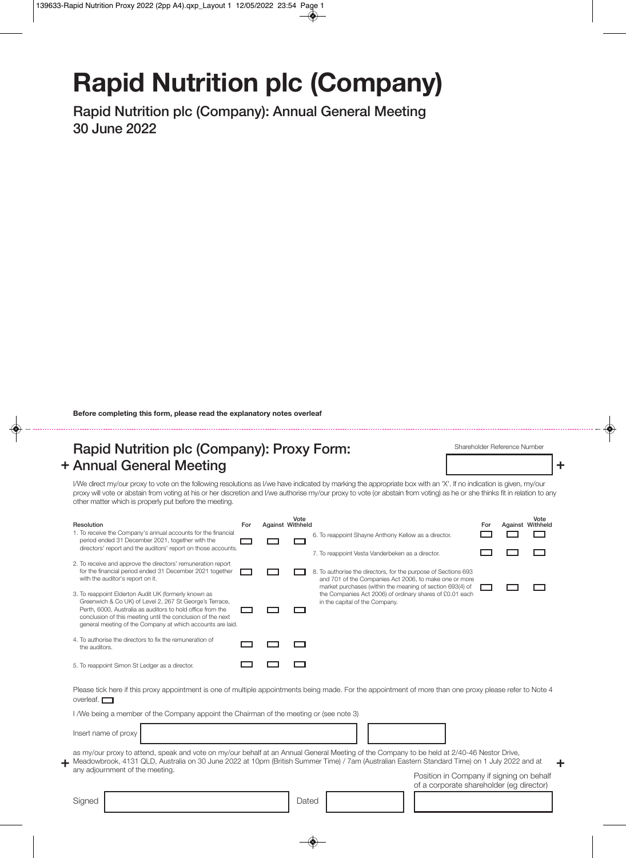# **Rapid Nutrition plc (Company)**

**Rapid Nutrition plc (Company): Annual General Meeting 30 June 2022**

**Before completing this form, please read the explanatory notes overleaf**

#### + Annual General Meeting **by the set of the set of the set of the set of the set of the set of the set of the set of the set of the set of the set of the set of the set of the set of the set of the set of the set of the se Rapid Nutrition plc (Company): Proxy Form:**

Shareholder Reference Number

I/We direct my/our proxy to vote on the following resolutions as I/we have indicated by marking the appropriate box with an 'X'. If no indication is given, my/our proxy will vote or abstain from voting at his or her discretion and I/we authorise my/our proxy to vote (or abstain from voting) as he or she thinks fit in relation to any other matter which is properly put before the meeting.

|                                                                                                                                                                                                                                                                                                                                                                            | Resolution                                                                                                                                                                                                                                                                                                 | For | Against Withheld | Vote  |                                                                                                                                                                              | For | Against Withheld | Vote |  |
|----------------------------------------------------------------------------------------------------------------------------------------------------------------------------------------------------------------------------------------------------------------------------------------------------------------------------------------------------------------------------|------------------------------------------------------------------------------------------------------------------------------------------------------------------------------------------------------------------------------------------------------------------------------------------------------------|-----|------------------|-------|------------------------------------------------------------------------------------------------------------------------------------------------------------------------------|-----|------------------|------|--|
|                                                                                                                                                                                                                                                                                                                                                                            | 1. To receive the Company's annual accounts for the financial<br>period ended 31 December 2021, together with the<br>directors' report and the auditors' report on those accounts.                                                                                                                         |     |                  |       | 6. To reappoint Shayne Anthony Kellow as a director.                                                                                                                         |     |                  |      |  |
|                                                                                                                                                                                                                                                                                                                                                                            | 2. To receive and approve the directors' remuneration report<br>for the financial period ended 31 December 2021 together<br>with the auditor's report on it.                                                                                                                                               |     |                  |       | 7. To reappoint Vesta Vanderbeken as a director.<br>8. To authorise the directors, for the purpose of Sections 693<br>and 701 of the Companies Act 2006, to make one or more |     |                  |      |  |
|                                                                                                                                                                                                                                                                                                                                                                            | 3. To reappoint Elderton Audit UK (formerly known as<br>Greenwich & Co UK) of Level 2, 267 St George's Terrace,<br>Perth, 6000, Australia as auditors to hold office from the<br>conclusion of this meeting until the conclusion of the next<br>general meeting of the Company at which accounts are laid. |     |                  |       | market purchases (within the meaning of section 693(4) of<br>the Companies Act 2006) of ordinary shares of £0.01 each<br>in the capital of the Company.                      |     |                  |      |  |
|                                                                                                                                                                                                                                                                                                                                                                            | 4. To authorise the directors to fix the remuneration of<br>the auditors.                                                                                                                                                                                                                                  |     |                  |       |                                                                                                                                                                              |     |                  |      |  |
|                                                                                                                                                                                                                                                                                                                                                                            | 5. To reappoint Simon St Ledger as a director.                                                                                                                                                                                                                                                             |     |                  |       |                                                                                                                                                                              |     |                  |      |  |
| Please tick here if this proxy appointment is one of multiple appointments being made. For the appointment of more than one proxy please refer to Note 4<br>overleaf. $\Box$                                                                                                                                                                                               |                                                                                                                                                                                                                                                                                                            |     |                  |       |                                                                                                                                                                              |     |                  |      |  |
|                                                                                                                                                                                                                                                                                                                                                                            | I /We being a member of the Company appoint the Chairman of the meeting or (see note 3)                                                                                                                                                                                                                    |     |                  |       |                                                                                                                                                                              |     |                  |      |  |
|                                                                                                                                                                                                                                                                                                                                                                            | Insert name of proxy                                                                                                                                                                                                                                                                                       |     |                  |       |                                                                                                                                                                              |     |                  |      |  |
| as my/our proxy to attend, speak and vote on my/our behalf at an Annual General Meeting of the Company to be held at 2/40-46 Nestor Drive,<br>Meadowbrook, 4131 QLD, Australia on 30 June 2022 at 10pm (British Summer Time) / 7am (Australian Eastern Standard Time) on 1 July 2022 and at<br>any adjournment of the meeting.<br>Position in Company if signing on behalf |                                                                                                                                                                                                                                                                                                            |     |                  |       |                                                                                                                                                                              |     |                  |      |  |
|                                                                                                                                                                                                                                                                                                                                                                            | Signed                                                                                                                                                                                                                                                                                                     |     |                  | Dated | of a corporate shareholder (eg director)                                                                                                                                     |     |                  |      |  |